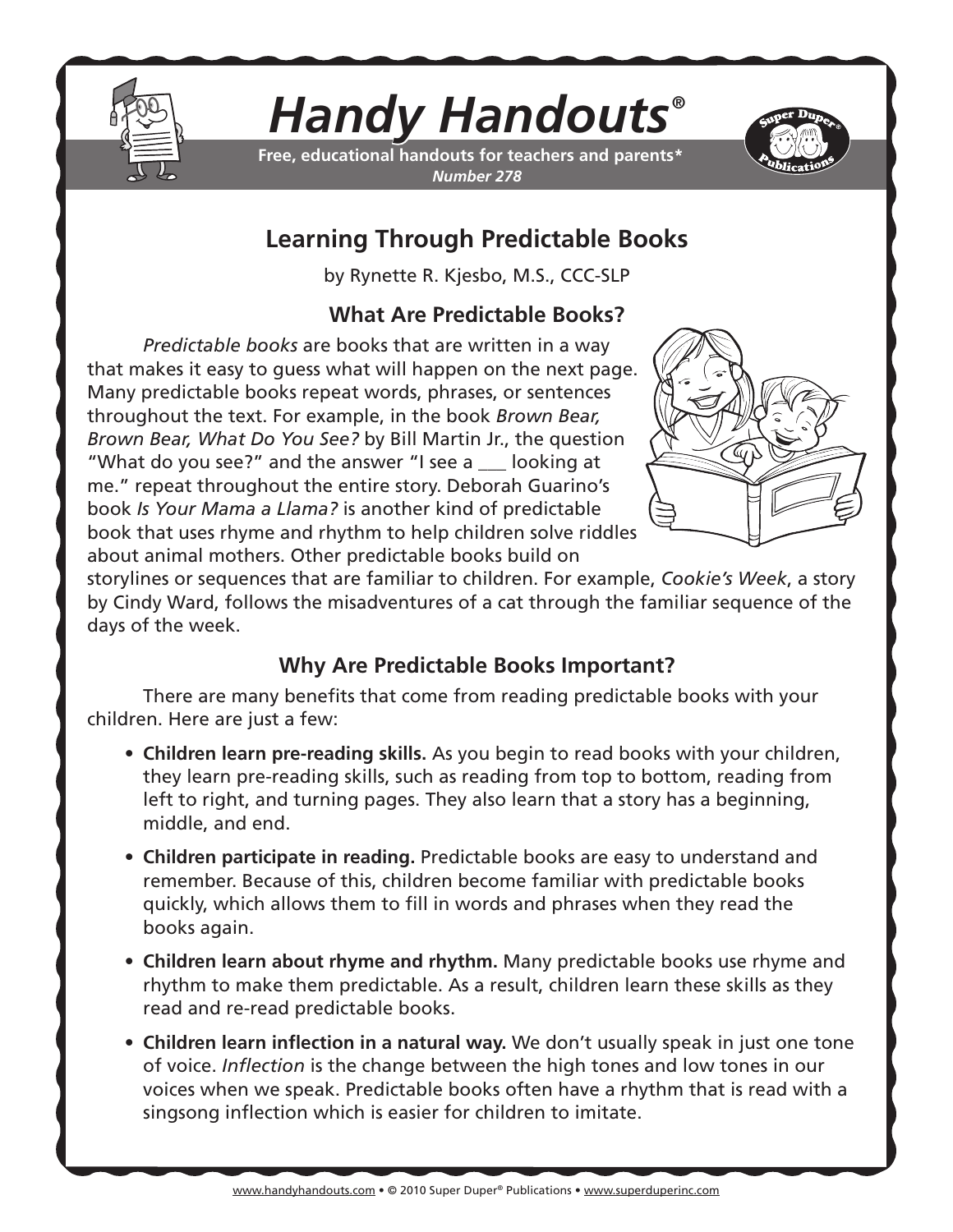

# *Handy Handouts®*

**Free, educational handouts for teachers and parents\*** *Number 278*



## **Learning Through Predictable Books**

by Rynette R. Kjesbo, M.S., CCC-SLP

### **What Are Predictable Books?**

*Predictable books* are books that are written in a way that makes it easy to guess what will happen on the next page. Many predictable books repeat words, phrases, or sentences throughout the text. For example, in the book *Brown Bear, Brown Bear, What Do You See?* by Bill Martin Jr., the question "What do you see?" and the answer "I see a \_\_\_ looking at me." repeat throughout the entire story. Deborah Guarino's book *Is Your Mama a Llama?* is another kind of predictable book that uses rhyme and rhythm to help children solve riddles about animal mothers. Other predictable books build on



storylines or sequences that are familiar to children. For example, *Cookie's Week*, a story by Cindy Ward, follows the misadventures of a cat through the familiar sequence of the days of the week.

### **Why Are Predictable Books Important?**

There are many benefits that come from reading predictable books with your children. Here are just a few:

- **• Children learn pre-reading skills.** As you begin to read books with your children, they learn pre-reading skills, such as reading from top to bottom, reading from left to right, and turning pages. They also learn that a story has a beginning, middle, and end.
- **• Children participate in reading.** Predictable books are easy to understand and remember. Because of this, children become familiar with predictable books quickly, which allows them to fill in words and phrases when they read the books again.
- **• Children learn about rhyme and rhythm.** Many predictable books use rhyme and rhythm to make them predictable. As a result, children learn these skills as they read and re-read predictable books.
- **• Children learn inflection in a natural way.** We don't usually speak in just one tone of voice. *Inflection* is the change between the high tones and low tones in our voices when we speak. Predictable books often have a rhythm that is read with a singsong inflection which is easier for children to imitate.